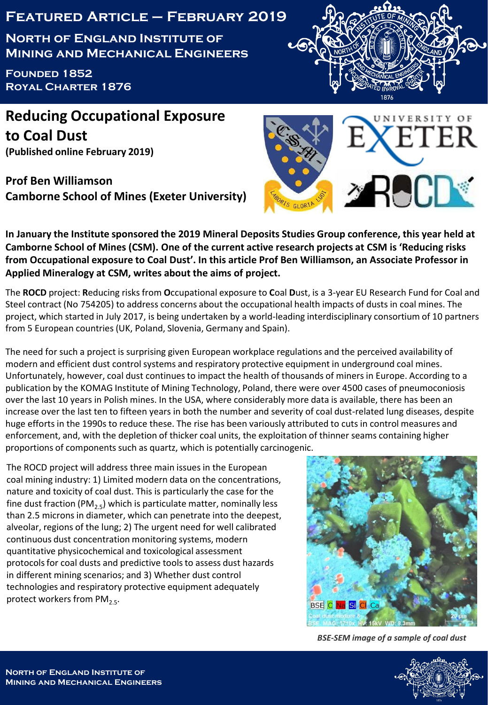## **Featured Article – February 2019**

**North of England Institute of Mining and Mechanical Engineers**

**Founded 1852 Royal Charter 1876**

**Reducing Occupational Exposure to Coal Dust (Published online February 2019)**

**Prof Ben Williamson Camborne School of Mines (Exeter University)**





**In January the Institute sponsored the 2019 Mineral Deposits Studies Group conference, this year held at Camborne School of Mines (CSM). One of the current active research projects at CSM is 'Reducing risks from Occupational exposure to Coal Dust'. In this article Prof Ben Williamson, an Associate Professor in Applied Mineralogy at CSM, writes about the aims of project.**

The **ROCD** project: **R**educing risks from **O**ccupational exposure to **C**oal **D**ust, is a 3-year EU Research Fund for Coal and Steel contract (No 754205) to address concerns about the occupational health impacts of dusts in coal mines. The project, which started in July 2017, is being undertaken by a world-leading interdisciplinary consortium of 10 partners from 5 European countries (UK, Poland, Slovenia, Germany and Spain).

The need for such a project is surprising given European workplace regulations and the perceived availability of modern and efficient dust control systems and respiratory protective equipment in underground coal mines. Unfortunately, however, coal dust continues to impact the health of thousands of miners in Europe. According to a publication by the KOMAG Institute of Mining Technology, Poland, there were over 4500 cases of pneumoconiosis over the last 10 years in Polish mines. In the USA, where considerably more data is available, there has been an increase over the last ten to fifteen years in both the number and severity of coal dust-related lung diseases, despite huge efforts in the 1990s to reduce these. The rise has been variously attributed to cuts in control measures and enforcement, and, with the depletion of thicker coal units, the exploitation of thinner seams containing higher proportions of components such as quartz, which is potentially carcinogenic.

The ROCD project will address three main issues in the European coal mining industry: 1) Limited modern data on the concentrations, nature and toxicity of coal dust. This is particularly the case for the fine dust fraction (PM<sub>2.5</sub>) which is particulate matter, nominally less than 2.5 microns in diameter, which can penetrate into the deepest, alveolar, regions of the lung; 2) The urgent need for well calibrated continuous dust concentration monitoring systems, modern quantitative physicochemical and toxicological assessment protocols for coal dusts and predictive tools to assess dust hazards in different mining scenarios; and 3) Whether dust control technologies and respiratory protective equipment adequately protect workers from PM<sub>2.5</sub>.



*BSE-SEM image of a sample of coal dust*